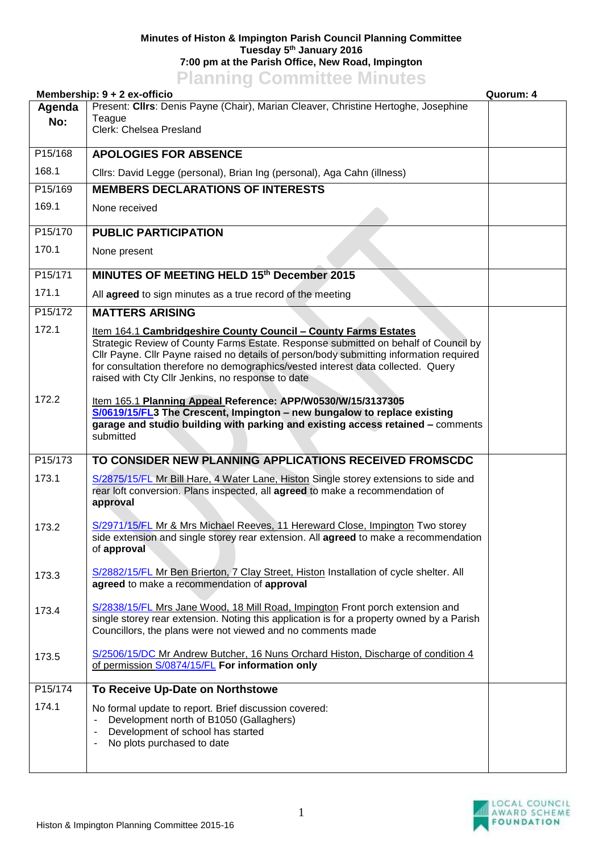## **Minutes of Histon & Impington Parish Council Planning Committee Tuesday 5 th January 2016 7:00 pm at the Parish Office, New Road, Impington Planning Committee Minutes**

|         | <u>Lighting</u> commutee mindles<br>Membership: 9 + 2 ex-officio                                                                                                                                                                                                                                                                                                                           | Quorum: 4 |
|---------|--------------------------------------------------------------------------------------------------------------------------------------------------------------------------------------------------------------------------------------------------------------------------------------------------------------------------------------------------------------------------------------------|-----------|
| Agenda  | Present: Cllrs: Denis Payne (Chair), Marian Cleaver, Christine Hertoghe, Josephine                                                                                                                                                                                                                                                                                                         |           |
| No:     | Teague<br>Clerk: Chelsea Presland                                                                                                                                                                                                                                                                                                                                                          |           |
|         |                                                                                                                                                                                                                                                                                                                                                                                            |           |
| P15/168 | <b>APOLOGIES FOR ABSENCE</b>                                                                                                                                                                                                                                                                                                                                                               |           |
| 168.1   | Cllrs: David Legge (personal), Brian Ing (personal), Aga Cahn (illness)                                                                                                                                                                                                                                                                                                                    |           |
| P15/169 | <b>MEMBERS DECLARATIONS OF INTERESTS</b>                                                                                                                                                                                                                                                                                                                                                   |           |
| 169.1   | None received                                                                                                                                                                                                                                                                                                                                                                              |           |
| P15/170 | <b>PUBLIC PARTICIPATION</b>                                                                                                                                                                                                                                                                                                                                                                |           |
| 170.1   | None present                                                                                                                                                                                                                                                                                                                                                                               |           |
| P15/171 | MINUTES OF MEETING HELD 15th December 2015                                                                                                                                                                                                                                                                                                                                                 |           |
| 171.1   | All agreed to sign minutes as a true record of the meeting                                                                                                                                                                                                                                                                                                                                 |           |
| P15/172 | <b>MATTERS ARISING</b>                                                                                                                                                                                                                                                                                                                                                                     |           |
| 172.1   | Item 164.1 Cambridgeshire County Council - County Farms Estates<br>Strategic Review of County Farms Estate. Response submitted on behalf of Council by<br>Cllr Payne. Cllr Payne raised no details of person/body submitting information required<br>for consultation therefore no demographics/vested interest data collected. Query<br>raised with Cty Cllr Jenkins, no response to date |           |
| 172.2   | Item 165.1 Planning Appeal Reference: APP/W0530/W/15/3137305<br>S/0619/15/FL3 The Crescent, Impington - new bungalow to replace existing<br>garage and studio building with parking and existing access retained - comments<br>submitted                                                                                                                                                   |           |
| P15/173 | TO CONSIDER NEW PLANNING APPLICATIONS RECEIVED FROMSCDC                                                                                                                                                                                                                                                                                                                                    |           |
| 173.1   | S/2875/15/FL Mr Bill Hare, 4 Water Lane, Histon Single storey extensions to side and<br>rear loft conversion. Plans inspected, all agreed to make a recommendation of<br>approval                                                                                                                                                                                                          |           |
| 173.2   | S/2971/15/FL Mr & Mrs Michael Reeves, 11 Hereward Close, Impington Two storey<br>side extension and single storey rear extension. All <b>agreed</b> to make a recommendation<br>of approval                                                                                                                                                                                                |           |
| 173.3   | S/2882/15/FL Mr Ben Brierton, 7 Clay Street, Histon Installation of cycle shelter. All<br>agreed to make a recommendation of approval                                                                                                                                                                                                                                                      |           |
| 173.4   | S/2838/15/FL Mrs Jane Wood, 18 Mill Road, Impington Front porch extension and<br>single storey rear extension. Noting this application is for a property owned by a Parish<br>Councillors, the plans were not viewed and no comments made                                                                                                                                                  |           |
| 173.5   | S/2506/15/DC Mr Andrew Butcher, 16 Nuns Orchard Histon, Discharge of condition 4<br>of permission S/0874/15/FL For information only                                                                                                                                                                                                                                                        |           |
| P15/174 | To Receive Up-Date on Northstowe                                                                                                                                                                                                                                                                                                                                                           |           |
| 174.1   | No formal update to report. Brief discussion covered:<br>Development north of B1050 (Gallaghers)<br>Development of school has started<br>$\overline{\phantom{a}}$<br>No plots purchased to date<br>۰                                                                                                                                                                                       |           |